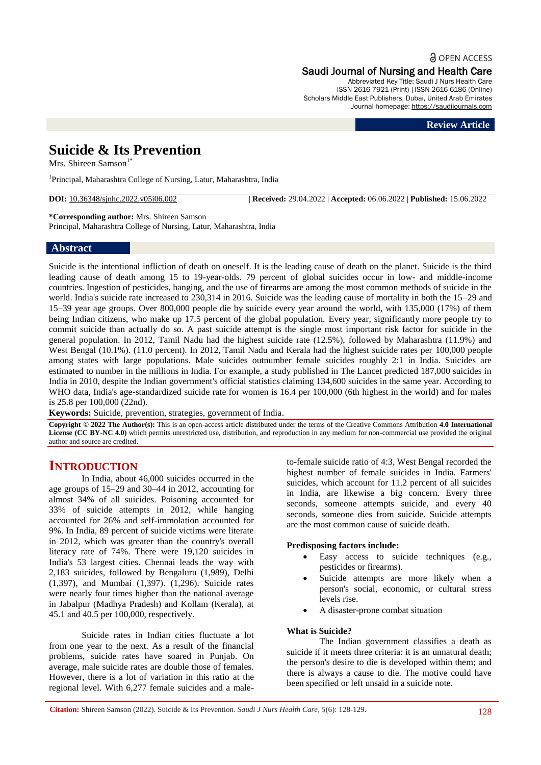**a** OPEN ACCESS

Saudi Journal of Nursing and Health Care Abbreviated Key Title: Saudi J Nurs Health Care

ISSN 2616-7921 (Print) |ISSN 2616-6186 (Online) Scholars Middle East Publishers, Dubai, United Arab Emirates Journal homepage: [https://saudijournals.com](https://saudijournals.com/sjnhc)

**Review Article**

# **Suicide & Its Prevention**

Mrs. Shireen Samson $1*$ 

<sup>1</sup>Principal, Maharashtra College of Nursing, Latur, Maharashtra, India

**DOI:** 10.36348/sjnhc.2022.v05i06.002 | **Received:** 29.04.2022 | **Accepted:** 06.06.2022 | **Published:** 15.06.2022

**\*Corresponding author:** Mrs. Shireen Samson

Principal, Maharashtra College of Nursing, Latur, Maharashtra, India

## **Abstract**

Suicide is the intentional infliction of death on oneself. It is the leading cause of death on the planet. Suicide is the third leading cause of death among 15 to 19-year-olds. 79 percent of global suicides occur in low- and middle-income countries. Ingestion of pesticides, hanging, and the use of firearms are among the most common methods of suicide in the world. India's suicide rate increased to 230,314 in 2016. Suicide was the leading cause of mortality in both the 15–29 and 15–39 year age groups. Over 800,000 people die by suicide every year around the world, with 135,000 (17%) of them being Indian citizens, who make up 17.5 percent of the global population. Every year, significantly more people try to commit suicide than actually do so. A past suicide attempt is the single most important risk factor for suicide in the general population. In 2012, Tamil Nadu had the highest suicide rate (12.5%), followed by Maharashtra (11.9%) and West Bengal (10.1%). (11.0 percent). In 2012, Tamil Nadu and Kerala had the highest suicide rates per 100,000 people among states with large populations. Male suicides outnumber female suicides roughly 2:1 in India. Suicides are estimated to number in the millions in India. For example, a study published in The Lancet predicted 187,000 suicides in India in 2010, despite the Indian government's official statistics claiming 134,600 suicides in the same year. According to WHO data, India's age-standardized suicide rate for women is 16.4 per 100,000 (6th highest in the world) and for males is 25.8 per 100,000 (22nd).

**Keywords:** Suicide, prevention, strategies, government of India.

**Copyright © 2022 The Author(s):** This is an open-access article distributed under the terms of the Creative Commons Attribution **4.0 International License (CC BY-NC 4.0)** which permits unrestricted use, distribution, and reproduction in any medium for non-commercial use provided the original author and source are credited.

# **INTRODUCTION**

In India, about 46,000 suicides occurred in the age groups of 15–29 and 30–44 in 2012, accounting for almost 34% of all suicides. Poisoning accounted for 33% of suicide attempts in 2012, while hanging accounted for 26% and self-immolation accounted for 9%. In India, 89 percent of suicide victims were literate in 2012, which was greater than the country's overall literacy rate of 74%. There were 19,120 suicides in India's 53 largest cities. Chennai leads the way with 2,183 suicides, followed by Bengaluru (1,989), Delhi (1,397), and Mumbai (1,397). (1,296). Suicide rates were nearly four times higher than the national average in Jabalpur (Madhya Pradesh) and Kollam (Kerala), at 45.1 and 40.5 per 100,000, respectively.

Suicide rates in Indian cities fluctuate a lot from one year to the next. As a result of the financial problems, suicide rates have soared in Punjab. On average, male suicide rates are double those of females. However, there is a lot of variation in this ratio at the regional level. With 6,277 female suicides and a maleto-female suicide ratio of 4:3, West Bengal recorded the highest number of female suicides in India. Farmers' suicides, which account for 11.2 percent of all suicides in India, are likewise a big concern. Every three seconds, someone attempts suicide, and every 40 seconds, someone dies from suicide. Suicide attempts are the most common cause of suicide death.

#### **Predisposing factors include:**

- Easy access to suicide techniques (e.g., pesticides or firearms).
- Suicide attempts are more likely when a person's social, economic, or cultural stress levels rise.
- A disaster-prone combat situation

#### **What is Suicide?**

The Indian government classifies a death as suicide if it meets three criteria: it is an unnatural death; the person's desire to die is developed within them; and there is always a cause to die. The motive could have been specified or left unsaid in a suicide note.